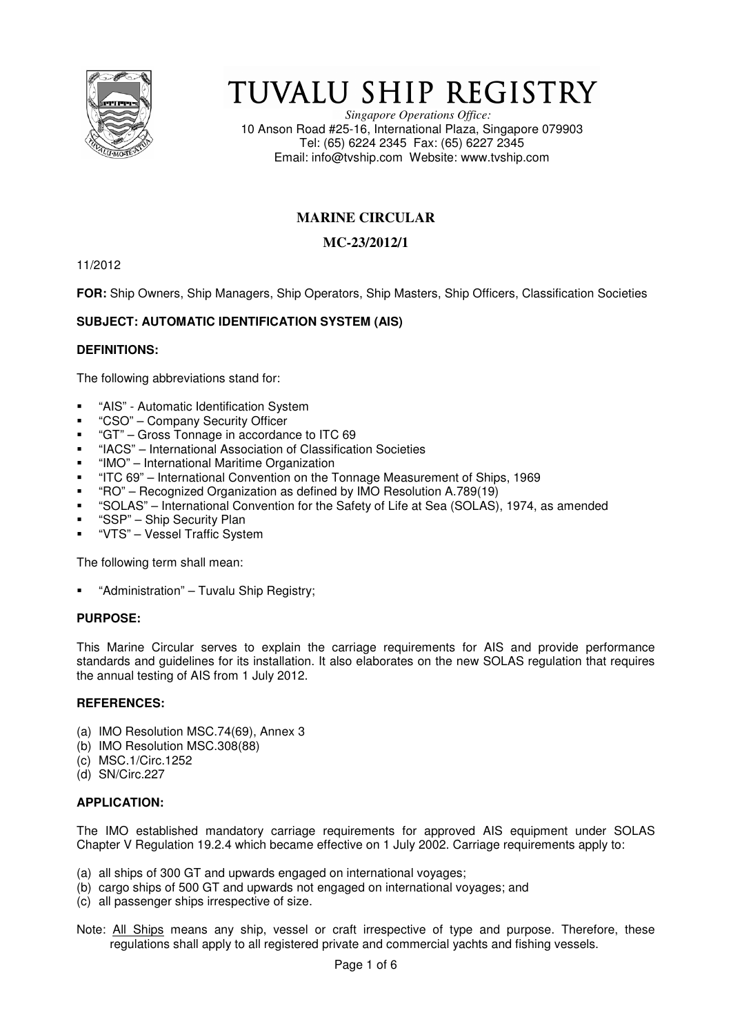

# TUVALU SHIP REGISTRY

*Singapore Operations Office:* 10 Anson Road #25-16, International Plaza, Singapore 079903 Tel: (65) 6224 2345 Fax: (65) 6227 2345 Email: info@tvship.com Website: www.tvship.com

## **MARINE CIRCULAR**

## **MC-23/2012/1**

11/2012

**FOR:** Ship Owners, Ship Managers, Ship Operators, Ship Masters, Ship Officers, Classification Societies

## **SUBJECT: AUTOMATIC IDENTIFICATION SYSTEM (AIS)**

#### **DEFINITIONS:**

The following abbreviations stand for:

- "AIS" Automatic Identification System
- "CSO" Company Security Officer
- "GT" Gross Tonnage in accordance to ITC 69
- "IACS" International Association of Classification Societies
- "IMO" International Maritime Organization
- "ITC 69" International Convention on the Tonnage Measurement of Ships, 1969
- "RO" Recognized Organization as defined by IMO Resolution A.789(19)
- "SOLAS" International Convention for the Safety of Life at Sea (SOLAS), 1974, as amended
- "SSP" Ship Security Plan
- "VTS" Vessel Traffic System

The following term shall mean:

"Administration" – Tuvalu Ship Registry;

#### **PURPOSE:**

This Marine Circular serves to explain the carriage requirements for AIS and provide performance standards and guidelines for its installation. It also elaborates on the new SOLAS regulation that requires the annual testing of AIS from 1 July 2012.

#### **REFERENCES:**

- (a) IMO Resolution MSC.74(69), Annex 3
- (b) IMO Resolution MSC.308(88)
- (c) MSC.1/Circ.1252
- (d) SN/Circ.227

#### **APPLICATION:**

The IMO established mandatory carriage requirements for approved AIS equipment under SOLAS Chapter V Regulation 19.2.4 which became effective on 1 July 2002. Carriage requirements apply to:

- (a) all ships of 300 GT and upwards engaged on international voyages;
- (b) cargo ships of 500 GT and upwards not engaged on international voyages; and
- (c) all passenger ships irrespective of size.
- Note: All Ships means any ship, vessel or craft irrespective of type and purpose. Therefore, these regulations shall apply to all registered private and commercial yachts and fishing vessels.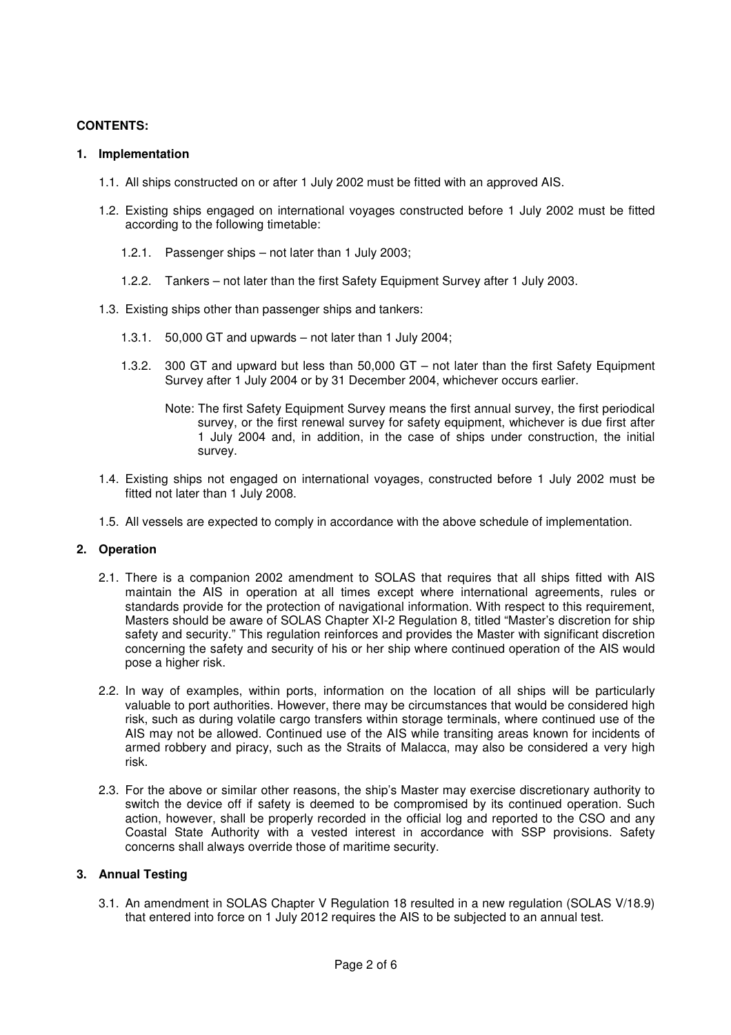#### **CONTENTS:**

#### **1. Implementation**

- 1.1. All ships constructed on or after 1 July 2002 must be fitted with an approved AIS.
- 1.2. Existing ships engaged on international voyages constructed before 1 July 2002 must be fitted according to the following timetable:
	- 1.2.1. Passenger ships not later than 1 July 2003;
	- 1.2.2. Tankers not later than the first Safety Equipment Survey after 1 July 2003.
- 1.3. Existing ships other than passenger ships and tankers:
	- 1.3.1. 50,000 GT and upwards not later than 1 July 2004;
	- 1.3.2. 300 GT and upward but less than 50,000 GT not later than the first Safety Equipment Survey after 1 July 2004 or by 31 December 2004, whichever occurs earlier.
		- Note: The first Safety Equipment Survey means the first annual survey, the first periodical survey, or the first renewal survey for safety equipment, whichever is due first after 1 July 2004 and, in addition, in the case of ships under construction, the initial survey.
- 1.4. Existing ships not engaged on international voyages, constructed before 1 July 2002 must be fitted not later than 1 July 2008.
- 1.5. All vessels are expected to comply in accordance with the above schedule of implementation.

#### **2. Operation**

- 2.1. There is a companion 2002 amendment to SOLAS that requires that all ships fitted with AIS maintain the AIS in operation at all times except where international agreements, rules or standards provide for the protection of navigational information. With respect to this requirement, Masters should be aware of SOLAS Chapter XI-2 Regulation 8, titled "Master's discretion for ship safety and security." This regulation reinforces and provides the Master with significant discretion concerning the safety and security of his or her ship where continued operation of the AIS would pose a higher risk.
- 2.2. In way of examples, within ports, information on the location of all ships will be particularly valuable to port authorities. However, there may be circumstances that would be considered high risk, such as during volatile cargo transfers within storage terminals, where continued use of the AIS may not be allowed. Continued use of the AIS while transiting areas known for incidents of armed robbery and piracy, such as the Straits of Malacca, may also be considered a very high risk.
- 2.3. For the above or similar other reasons, the ship's Master may exercise discretionary authority to switch the device off if safety is deemed to be compromised by its continued operation. Such action, however, shall be properly recorded in the official log and reported to the CSO and any Coastal State Authority with a vested interest in accordance with SSP provisions. Safety concerns shall always override those of maritime security.

#### **3. Annual Testing**

3.1. An amendment in SOLAS Chapter V Regulation 18 resulted in a new regulation (SOLAS V/18.9) that entered into force on 1 July 2012 requires the AIS to be subjected to an annual test.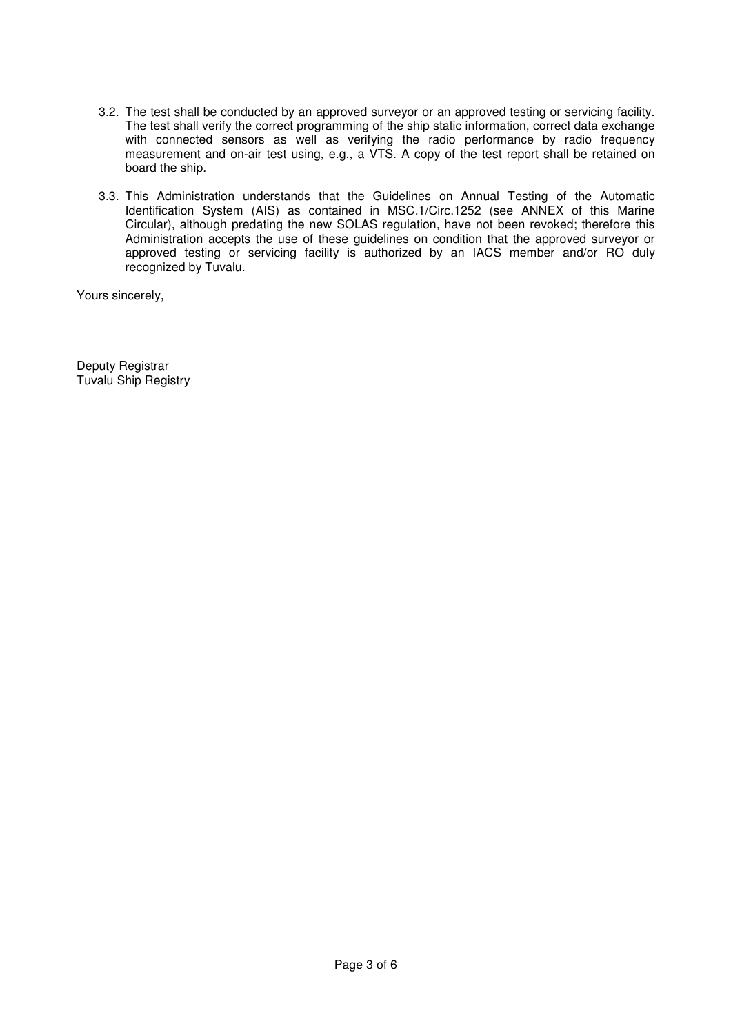- 3.2. The test shall be conducted by an approved surveyor or an approved testing or servicing facility. The test shall verify the correct programming of the ship static information, correct data exchange with connected sensors as well as verifying the radio performance by radio frequency measurement and on-air test using, e.g., a VTS. A copy of the test report shall be retained on board the ship.
- 3.3. This Administration understands that the Guidelines on Annual Testing of the Automatic Identification System (AIS) as contained in MSC.1/Circ.1252 (see ANNEX of this Marine Circular), although predating the new SOLAS regulation, have not been revoked; therefore this Administration accepts the use of these guidelines on condition that the approved surveyor or approved testing or servicing facility is authorized by an IACS member and/or RO duly recognized by Tuvalu.

Yours sincerely,

Deputy Registrar Tuvalu Ship Registry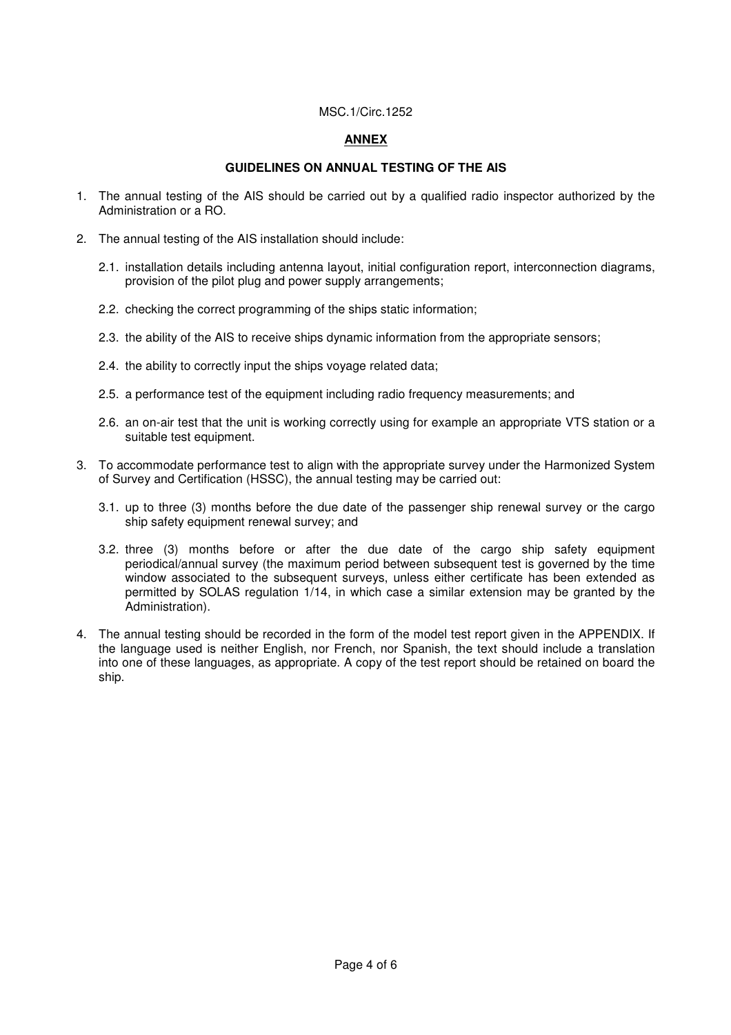#### MSC.1/Circ.1252

## **ANNEX**

### **GUIDELINES ON ANNUAL TESTING OF THE AIS**

- 1. The annual testing of the AIS should be carried out by a qualified radio inspector authorized by the Administration or a RO.
- 2. The annual testing of the AIS installation should include:
	- 2.1. installation details including antenna layout, initial configuration report, interconnection diagrams, provision of the pilot plug and power supply arrangements;
	- 2.2. checking the correct programming of the ships static information;
	- 2.3. the ability of the AIS to receive ships dynamic information from the appropriate sensors;
	- 2.4. the ability to correctly input the ships voyage related data;
	- 2.5. a performance test of the equipment including radio frequency measurements; and
	- 2.6. an on-air test that the unit is working correctly using for example an appropriate VTS station or a suitable test equipment.
- 3. To accommodate performance test to align with the appropriate survey under the Harmonized System of Survey and Certification (HSSC), the annual testing may be carried out:
	- 3.1. up to three (3) months before the due date of the passenger ship renewal survey or the cargo ship safety equipment renewal survey; and
	- 3.2. three (3) months before or after the due date of the cargo ship safety equipment periodical/annual survey (the maximum period between subsequent test is governed by the time window associated to the subsequent surveys, unless either certificate has been extended as permitted by SOLAS regulation 1/14, in which case a similar extension may be granted by the Administration).
- 4. The annual testing should be recorded in the form of the model test report given in the APPENDIX. If the language used is neither English, nor French, nor Spanish, the text should include a translation into one of these languages, as appropriate. A copy of the test report should be retained on board the ship.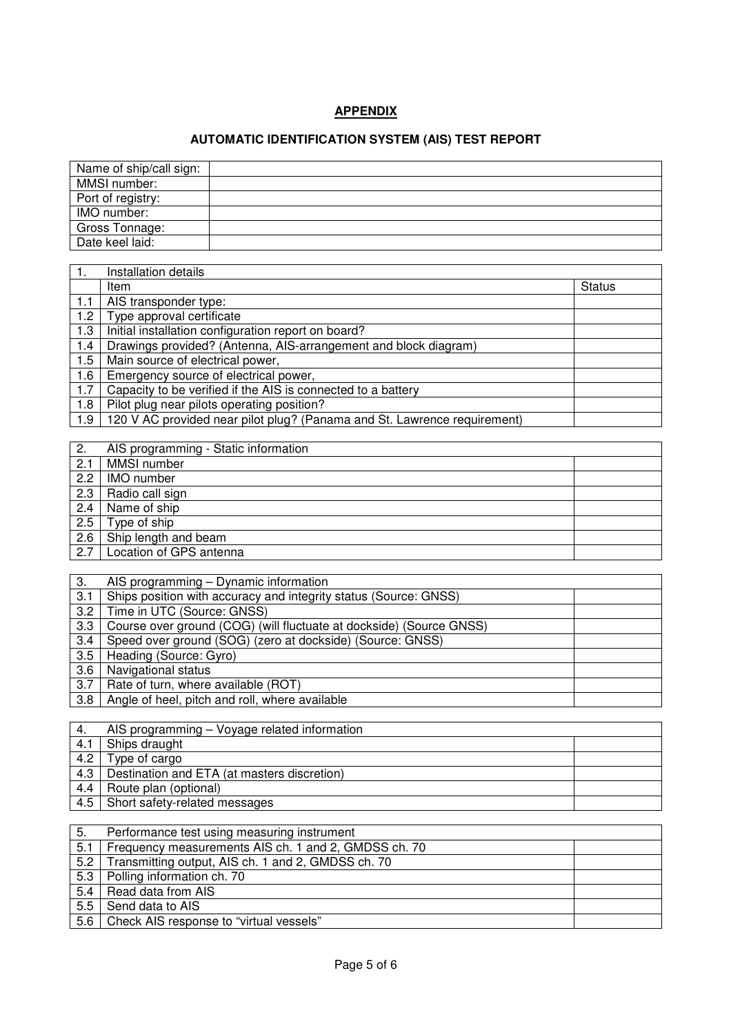## **APPENDIX**

# **AUTOMATIC IDENTIFICATION SYSTEM (AIS) TEST REPORT**

| Name of ship/call sign: |  |
|-------------------------|--|
| MMSI number:            |  |
| Port of registry:       |  |
| IMO number:             |  |
| Gross Tonnage:          |  |
| Date keel laid:         |  |

|     | Installation details                                                     |               |
|-----|--------------------------------------------------------------------------|---------------|
|     | Item                                                                     | <b>Status</b> |
| 1.1 | AIS transponder type:                                                    |               |
| 1.2 | Type approval certificate                                                |               |
| 1.3 | Initial installation configuration report on board?                      |               |
| 1.4 | Drawings provided? (Antenna, AIS-arrangement and block diagram)          |               |
| 1.5 | Main source of electrical power,                                         |               |
| 1.6 | Emergency source of electrical power,                                    |               |
| 1.7 | Capacity to be verified if the AIS is connected to a battery             |               |
| 1.8 | Pilot plug near pilots operating position?                               |               |
| 1.9 | 120 V AC provided near pilot plug? (Panama and St. Lawrence requirement) |               |

| 2.  | AIS programming - Static information |  |
|-----|--------------------------------------|--|
| 2.1 | MMSI number                          |  |
| 2.2 | IMO number                           |  |
| 2.3 | Radio call sign                      |  |
| 2.4 | Name of ship                         |  |
| 2.5 | Type of ship                         |  |
| 2.6 | Ship length and beam                 |  |
| 2.7 | Location of GPS antenna              |  |

| 3.  | AIS programming – Dynamic information                               |
|-----|---------------------------------------------------------------------|
| 3.1 | Ships position with accuracy and integrity status (Source: GNSS)    |
| 3.2 | Time in UTC (Source: GNSS)                                          |
| 3.3 | Course over ground (COG) (will fluctuate at dockside) (Source GNSS) |
| 3.4 | Speed over ground (SOG) (zero at dockside) (Source: GNSS)           |
| 3.5 | Heading (Source: Gyro)                                              |
| 3.6 | Navigational status                                                 |
| 3.7 | Rate of turn, where available (ROT)                                 |
| 3.8 | Angle of heel, pitch and roll, where available                      |

| 4.  | AIS programming - Voyage related information |  |
|-----|----------------------------------------------|--|
| 4.1 | Ships draught                                |  |
| 4.2 | Type of cargo                                |  |
| 4.3 | Destination and ETA (at masters discretion)  |  |
| 4.4 | Route plan (optional)                        |  |
| 4.5 | Short safety-related messages                |  |

| 5.  | Performance test using measuring instrument          |  |
|-----|------------------------------------------------------|--|
| 5.1 | Frequency measurements AIS ch. 1 and 2, GMDSS ch. 70 |  |
| 5.2 | Transmitting output, AIS ch. 1 and 2, GMDSS ch. 70   |  |
|     | 5.3   Polling information ch. 70                     |  |
| 5.4 | Read data from AIS                                   |  |
| 5.5 | Send data to AIS                                     |  |
| 5.6 | Check AIS response to "virtual vessels"              |  |